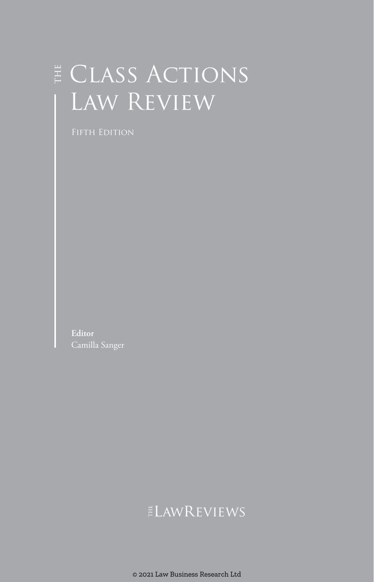# E CLASS ACTIONS Law Review

**Editor** Camilla Sanger

## ELAWREVIEWS

© 2021 Law Business Research Ltd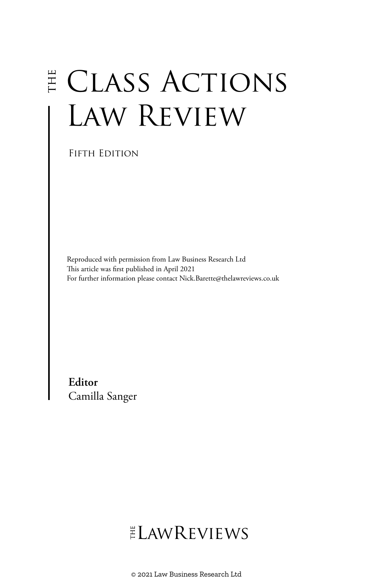# E CLASS ACTIONS Law Review

FIFTH EDITION

Reproduced with permission from Law Business Research Ltd This article was first published in April 2021 For further information please contact Nick.Barette@thelawreviews.co.uk

**Editor** Camilla Sanger

# ELAWREVIEWS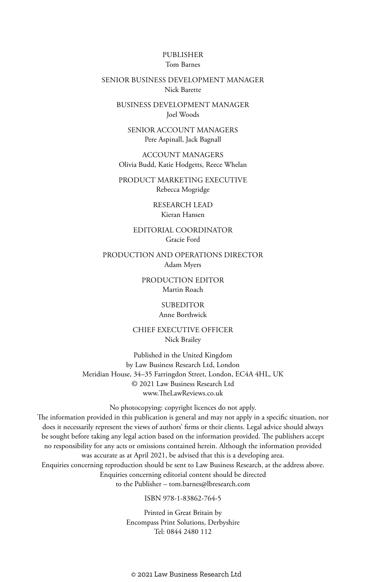#### PUBLISHER Tom Barnes

#### SENIOR BUSINESS DEVELOPMENT MANAGER Nick Barette

BUSINESS DEVELOPMENT MANAGER Joel Woods

SENIOR ACCOUNT MANAGERS Pere Aspinall, Jack Bagnall

ACCOUNT MANAGERS Olivia Budd, Katie Hodgetts, Reece Whelan

PRODUCT MARKETING EXECUTIVE Rebecca Mogridge

> RESEARCH LEAD Kieran Hansen

EDITORIAL COORDINATOR Gracie Ford

PRODUCTION AND OPERATIONS DIRECTOR Adam Myers

> PRODUCTION EDITOR Martin Roach

> > SUBEDITOR Anne Borthwick

CHIEF EXECUTIVE OFFICER Nick Brailey

Published in the United Kingdom by Law Business Research Ltd, London Meridian House, 34–35 Farringdon Street, London, EC4A 4HL, UK © 2021 Law Business Research Ltd www.TheLawReviews.co.uk

No photocopying: copyright licences do not apply. The information provided in this publication is general and may not apply in a specific situation, nor does it necessarily represent the views of authors' firms or their clients. Legal advice should always be sought before taking any legal action based on the information provided. The publishers accept no responsibility for any acts or omissions contained herein. Although the information provided was accurate as at April 2021, be advised that this is a developing area. Enquiries concerning reproduction should be sent to Law Business Research, at the address above. Enquiries concerning editorial content should be directed to the Publisher – tom.barnes@lbresearch.com

ISBN 978-1-83862-764-5

Printed in Great Britain by Encompass Print Solutions, Derbyshire Tel: 0844 2480 112

© 2021 Law Business Research Ltd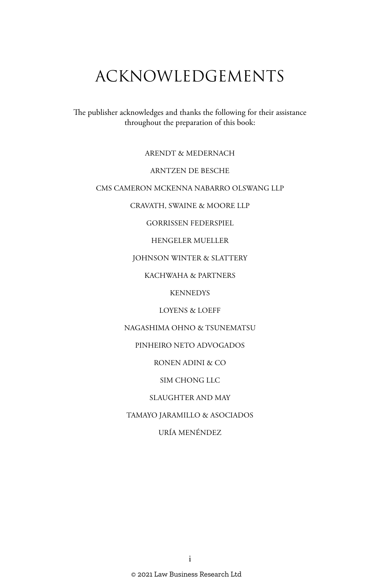# ACKNOWLEDGEMENTS

The publisher acknowledges and thanks the following for their assistance throughout the preparation of this book:

ARENDT & MEDERNACH

#### ARNTZEN DE BESCHE

#### CMS CAMERON MCKENNA NABARRO OLSWANG LLP

CRAVATH, SWAINE & MOORE LLP

GORRISSEN FEDERSPIEL

HENGELER MUELLER

JOHNSON WINTER & SLATTERY

KACHWAHA & PARTNERS

**KENNEDYS** 

LOYENS & LOEFF

NAGASHIMA OHNO & TSUNEMATSU

PINHEIRO NETO ADVOGADOS

RONEN ADINI & CO

SIM CHONG LLC

SLAUGHTER AND MAY

TAMAYO JARAMILLO & ASOCIADOS

URÍA MENÉNDEZ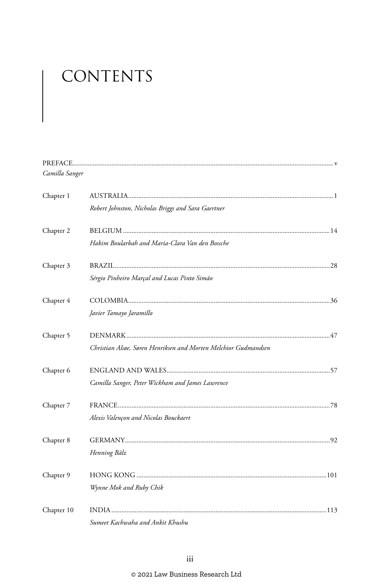# CONTENTS

| Camilla Sanger |                                                                 |
|----------------|-----------------------------------------------------------------|
| Chapter 1      |                                                                 |
|                | Robert Johnston, Nicholas Briggs and Sara Gaertner              |
| Chapter 2      |                                                                 |
|                | Hakim Boularbah and Maria-Clara Van den Bossche                 |
| Chapter 3      |                                                                 |
|                | Sérgio Pinheiro Marçal and Lucas Pinto Simão                    |
| Chapter 4      |                                                                 |
|                | Javier Tamayo Jaramillo                                         |
| Chapter 5      |                                                                 |
|                | Christian Alsøe, Søren Henriksen and Morten Melchior Gudmandsen |
| Chapter 6      |                                                                 |
|                | Camilla Sanger, Peter Wickham and James Lawrence                |
| Chapter 7      |                                                                 |
|                | Alexis Valençon and Nicolas Bouckaert                           |
| Chapter 8      |                                                                 |
|                | Henning Bälz                                                    |
| Chapter 9      |                                                                 |
|                | Wynne Mok and Ruby Chik                                         |
| Chapter 10     |                                                                 |
|                | Sumeet Kachwaha and Ankit Khushu.                               |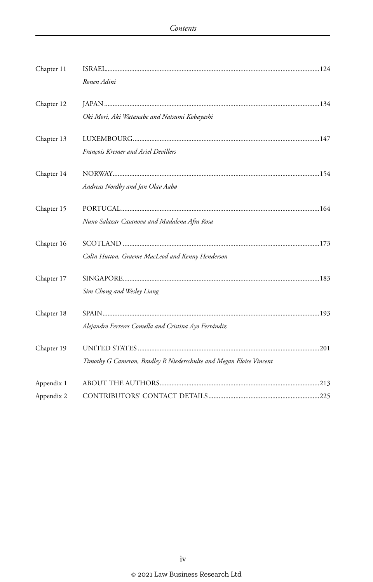| Chapter 11 | Ronen Adini                                                         |  |
|------------|---------------------------------------------------------------------|--|
| Chapter 12 | Oki Mori, Aki Watanabe and Natsumi Kobayashi                        |  |
| Chapter 13 | François Kremer and Ariel Devillers                                 |  |
| Chapter 14 | Andreas Nordby and Jan Olav Aabø                                    |  |
| Chapter 15 | Nuno Salazar Casanova and Madalena Afra Rosa                        |  |
| Chapter 16 | Colin Hutton, Graeme MacLeod and Kenny Henderson                    |  |
| Chapter 17 | Sim Chong and Wesley Liang                                          |  |
| Chapter 18 | Alejandro Ferreres Comella and Cristina Ayo Ferrándiz               |  |
| Chapter 19 | Timothy G Cameron, Bradley R Niederschulte and Megan Eloise Vincent |  |
| Appendix 1 |                                                                     |  |
| Appendix 2 |                                                                     |  |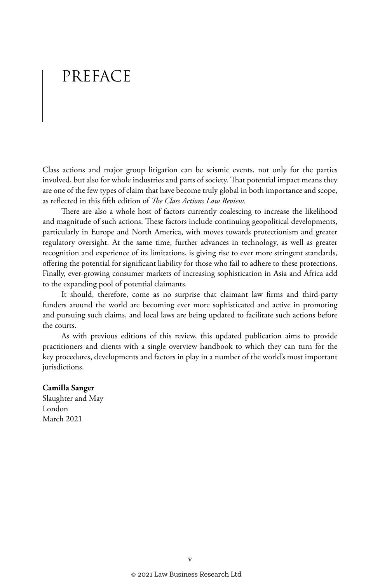## PREFACE

Class actions and major group litigation can be seismic events, not only for the parties involved, but also for whole industries and parts of society. That potential impact means they are one of the few types of claim that have become truly global in both importance and scope, as reflected in this fifth edition of *The Class Actions Law Review*.

There are also a whole host of factors currently coalescing to increase the likelihood and magnitude of such actions. These factors include continuing geopolitical developments, particularly in Europe and North America, with moves towards protectionism and greater regulatory oversight. At the same time, further advances in technology, as well as greater recognition and experience of its limitations, is giving rise to ever more stringent standards, offering the potential for significant liability for those who fail to adhere to these protections. Finally, ever-growing consumer markets of increasing sophistication in Asia and Africa add to the expanding pool of potential claimants.

It should, therefore, come as no surprise that claimant law firms and third-party funders around the world are becoming ever more sophisticated and active in promoting and pursuing such claims, and local laws are being updated to facilitate such actions before the courts.

As with previous editions of this review, this updated publication aims to provide practitioners and clients with a single overview handbook to which they can turn for the key procedures, developments and factors in play in a number of the world's most important jurisdictions.

#### **Camilla Sanger**

Slaughter and May London March 2021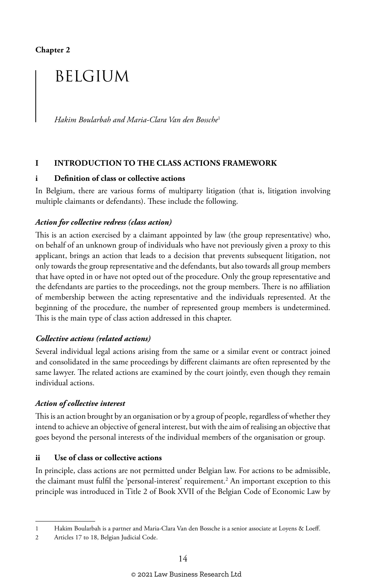**Chapter 2**

## BELGIUM

*Hakim Boularbah and Maria-Clara Van den Bossche*<sup>1</sup>

#### **I INTRODUCTION TO THE CLASS ACTIONS FRAMEWORK**

#### **i Definition of class or collective actions**

In Belgium, there are various forms of multiparty litigation (that is, litigation involving multiple claimants or defendants). These include the following.

#### *Action for collective redress (class action)*

This is an action exercised by a claimant appointed by law (the group representative) who, on behalf of an unknown group of individuals who have not previously given a proxy to this applicant, brings an action that leads to a decision that prevents subsequent litigation, not only towards the group representative and the defendants, but also towards all group members that have opted in or have not opted out of the procedure. Only the group representative and the defendants are parties to the proceedings, not the group members. There is no affiliation of membership between the acting representative and the individuals represented. At the beginning of the procedure, the number of represented group members is undetermined. This is the main type of class action addressed in this chapter.

#### *Collective actions (related actions)*

Several individual legal actions arising from the same or a similar event or contract joined and consolidated in the same proceedings by different claimants are often represented by the same lawyer. The related actions are examined by the court jointly, even though they remain individual actions.

#### *Action of collective interest*

This is an action brought by an organisation or by a group of people, regardless of whether they intend to achieve an objective of general interest, but with the aim of realising an objective that goes beyond the personal interests of the individual members of the organisation or group.

#### **ii Use of class or collective actions**

In principle, class actions are not permitted under Belgian law. For actions to be admissible, the claimant must fulfil the 'personal-interest' requirement.<sup>2</sup> An important exception to this principle was introduced in Title 2 of Book XVII of the Belgian Code of Economic Law by

<sup>1</sup> Hakim Boularbah is a partner and Maria-Clara Van den Bossche is a senior associate at Loyens & Loeff.

<sup>2</sup> Articles 17 to 18, Belgian Judicial Code.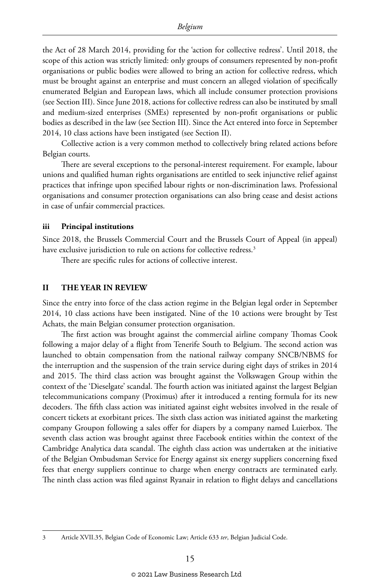the Act of 28 March 2014, providing for the 'action for collective redress'. Until 2018, the scope of this action was strictly limited: only groups of consumers represented by non-profit organisations or public bodies were allowed to bring an action for collective redress, which must be brought against an enterprise and must concern an alleged violation of specifically enumerated Belgian and European laws, which all include consumer protection provisions (see Section III). Since June 2018, actions for collective redress can also be instituted by small and medium-sized enterprises (SMEs) represented by non-profit organisations or public bodies as described in the law (see Section III). Since the Act entered into force in September 2014, 10 class actions have been instigated (see Section II).

Collective action is a very common method to collectively bring related actions before Belgian courts.

There are several exceptions to the personal-interest requirement. For example, labour unions and qualified human rights organisations are entitled to seek injunctive relief against practices that infringe upon specified labour rights or non-discrimination laws. Professional organisations and consumer protection organisations can also bring cease and desist actions in case of unfair commercial practices.

#### **iii Principal institutions**

Since 2018, the Brussels Commercial Court and the Brussels Court of Appeal (in appeal) have exclusive jurisdiction to rule on actions for collective redress.<sup>3</sup>

There are specific rules for actions of collective interest.

#### **II THE YEAR IN REVIEW**

Since the entry into force of the class action regime in the Belgian legal order in September 2014, 10 class actions have been instigated. Nine of the 10 actions were brought by Test Achats, the main Belgian consumer protection organisation.

The first action was brought against the commercial airline company Thomas Cook following a major delay of a flight from Tenerife South to Belgium. The second action was launched to obtain compensation from the national railway company SNCB/NBMS for the interruption and the suspension of the train service during eight days of strikes in 2014 and 2015. The third class action was brought against the Volkswagen Group within the context of the 'Dieselgate' scandal. The fourth action was initiated against the largest Belgian telecommunications company (Proximus) after it introduced a renting formula for its new decoders. The fifth class action was initiated against eight websites involved in the resale of concert tickets at exorbitant prices. The sixth class action was initiated against the marketing company Groupon following a sales offer for diapers by a company named Luierbox. The seventh class action was brought against three Facebook entities within the context of the Cambridge Analytica data scandal. The eighth class action was undertaken at the initiative of the Belgian Ombudsman Service for Energy against six energy suppliers concerning fixed fees that energy suppliers continue to charge when energy contracts are terminated early. The ninth class action was filed against Ryanair in relation to flight delays and cancellations

<sup>3</sup> Article XVII.35, Belgian Code of Economic Law; Article 633 *ter*, Belgian Judicial Code.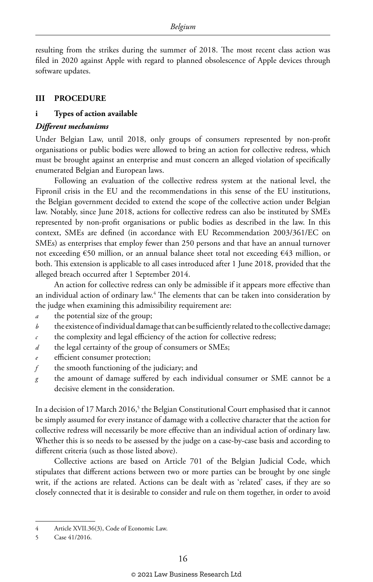resulting from the strikes during the summer of 2018. The most recent class action was filed in 2020 against Apple with regard to planned obsolescence of Apple devices through software updates.

#### **III PROCEDURE**

#### **i Types of action available**

#### *Different mechanisms*

Under Belgian Law, until 2018, only groups of consumers represented by non-profit organisations or public bodies were allowed to bring an action for collective redress, which must be brought against an enterprise and must concern an alleged violation of specifically enumerated Belgian and European laws.

Following an evaluation of the collective redress system at the national level, the Fipronil crisis in the EU and the recommendations in this sense of the EU institutions, the Belgian government decided to extend the scope of the collective action under Belgian law. Notably, since June 2018, actions for collective redress can also be instituted by SMEs represented by non-profit organisations or public bodies as described in the law. In this context, SMEs are defined (in accordance with EU Recommendation 2003/361/EC on SMEs) as enterprises that employ fewer than 250 persons and that have an annual turnover not exceeding €50 million, or an annual balance sheet total not exceeding €43 million, or both. This extension is applicable to all cases introduced after 1 June 2018, provided that the alleged breach occurred after 1 September 2014.

An action for collective redress can only be admissible if it appears more effective than an individual action of ordinary law.<sup>4</sup> The elements that can be taken into consideration by the judge when examining this admissibility requirement are:

- *a* the potential size of the group;
- *b* the existence of individual damage that can be sufficiently related to the collective damage;
- *c* the complexity and legal efficiency of the action for collective redress;
- *d* the legal certainty of the group of consumers or SMEs;
- *e* efficient consumer protection;
- *f* the smooth functioning of the judiciary; and
- *g* the amount of damage suffered by each individual consumer or SME cannot be a decisive element in the consideration.

In a decision of 17 March 2016,<sup>5</sup> the Belgian Constitutional Court emphasised that it cannot be simply assumed for every instance of damage with a collective character that the action for collective redress will necessarily be more effective than an individual action of ordinary law. Whether this is so needs to be assessed by the judge on a case-by-case basis and according to different criteria (such as those listed above).

Collective actions are based on Article 701 of the Belgian Judicial Code, which stipulates that different actions between two or more parties can be brought by one single writ, if the actions are related. Actions can be dealt with as 'related' cases, if they are so closely connected that it is desirable to consider and rule on them together, in order to avoid

<sup>4</sup> Article XVII.36(3), Code of Economic Law.

<sup>5</sup> Case 41/2016.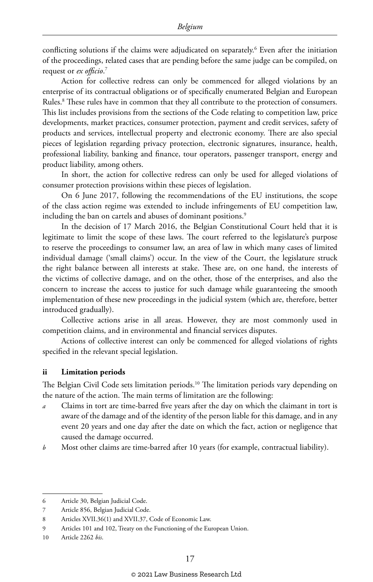conflicting solutions if the claims were adjudicated on separately.6 Even after the initiation of the proceedings, related cases that are pending before the same judge can be compiled, on request or *ex officio*. 7

Action for collective redress can only be commenced for alleged violations by an enterprise of its contractual obligations or of specifically enumerated Belgian and European Rules.8 These rules have in common that they all contribute to the protection of consumers. This list includes provisions from the sections of the Code relating to competition law, price developments, market practices, consumer protection, payment and credit services, safety of products and services, intellectual property and electronic economy. There are also special pieces of legislation regarding privacy protection, electronic signatures, insurance, health, professional liability, banking and finance, tour operators, passenger transport, energy and product liability, among others.

In short, the action for collective redress can only be used for alleged violations of consumer protection provisions within these pieces of legislation.

On 6 June 2017, following the recommendations of the EU institutions, the scope of the class action regime was extended to include infringements of EU competition law, including the ban on cartels and abuses of dominant positions.<sup>9</sup>

In the decision of 17 March 2016, the Belgian Constitutional Court held that it is legitimate to limit the scope of these laws. The court referred to the legislature's purpose to reserve the proceedings to consumer law, an area of law in which many cases of limited individual damage ('small claims') occur. In the view of the Court, the legislature struck the right balance between all interests at stake. These are, on one hand, the interests of the victims of collective damage, and on the other, those of the enterprises, and also the concern to increase the access to justice for such damage while guaranteeing the smooth implementation of these new proceedings in the judicial system (which are, therefore, better introduced gradually).

Collective actions arise in all areas. However, they are most commonly used in competition claims, and in environmental and financial services disputes.

Actions of collective interest can only be commenced for alleged violations of rights specified in the relevant special legislation.

#### **ii Limitation periods**

The Belgian Civil Code sets limitation periods.10 The limitation periods vary depending on the nature of the action. The main terms of limitation are the following:

- *a* Claims in tort are time-barred five years after the day on which the claimant in tort is aware of the damage and of the identity of the person liable for this damage, and in any event 20 years and one day after the date on which the fact, action or negligence that caused the damage occurred.
- *b* Most other claims are time-barred after 10 years (for example, contractual liability).

<sup>6</sup> Article 30, Belgian Judicial Code.

<sup>7</sup> Article 856, Belgian Judicial Code.

<sup>8</sup> Articles XVII.36(1) and XVII.37, Code of Economic Law.

<sup>9</sup> Articles 101 and 102, Treaty on the Functioning of the European Union.

<sup>10</sup> Article 2262 *bis*.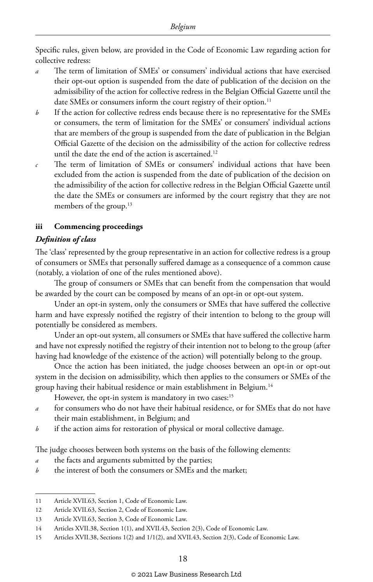Specific rules, given below, are provided in the Code of Economic Law regarding action for collective redress:

- The term of limitation of SMEs' or consumers' individual actions that have exercised their opt-out option is suspended from the date of publication of the decision on the admissibility of the action for collective redress in the Belgian Official Gazette until the date SMEs or consumers inform the court registry of their option.<sup>11</sup>
- *b* If the action for collective redress ends because there is no representative for the SMEs or consumers, the term of limitation for the SMEs' or consumers' individual actions that are members of the group is suspended from the date of publication in the Belgian Official Gazette of the decision on the admissibility of the action for collective redress until the date the end of the action is ascertained.<sup>12</sup>
- *c* The term of limitation of SMEs or consumers' individual actions that have been excluded from the action is suspended from the date of publication of the decision on the admissibility of the action for collective redress in the Belgian Official Gazette until the date the SMEs or consumers are informed by the court registry that they are not members of the group.<sup>13</sup>

#### **iii Commencing proceedings**

#### *Definition of class*

The 'class' represented by the group representative in an action for collective redress is a group of consumers or SMEs that personally suffered damage as a consequence of a common cause (notably, a violation of one of the rules mentioned above).

The group of consumers or SMEs that can benefit from the compensation that would be awarded by the court can be composed by means of an opt-in or opt-out system.

Under an opt-in system, only the consumers or SMEs that have suffered the collective harm and have expressly notified the registry of their intention to belong to the group will potentially be considered as members.

Under an opt-out system, all consumers or SMEs that have suffered the collective harm and have not expressly notified the registry of their intention not to belong to the group (after having had knowledge of the existence of the action) will potentially belong to the group.

Once the action has been initiated, the judge chooses between an opt-in or opt-out system in the decision on admissibility, which then applies to the consumers or SMEs of the group having their habitual residence or main establishment in Belgium.14

However, the opt-in system is mandatory in two cases:<sup>15</sup>

- *a* for consumers who do not have their habitual residence, or for SMEs that do not have their main establishment, in Belgium; and
- *b* if the action aims for restoration of physical or moral collective damage.

The judge chooses between both systems on the basis of the following elements:

- *a* the facts and arguments submitted by the parties;
- *b* the interest of both the consumers or SMEs and the market;

<sup>11</sup> Article XVII.63, Section 1, Code of Economic Law.

<sup>12</sup> Article XVII.63, Section 2, Code of Economic Law.

<sup>13</sup> Article XVII.63, Section 3, Code of Economic Law.

<sup>14</sup> Articles XVII.38, Section 1(1), and XVII.43, Section 2(3), Code of Economic Law.

<sup>15</sup> Articles XVII.38, Sections 1(2) and 1/1(2), and XVII.43, Section 2(3), Code of Economic Law.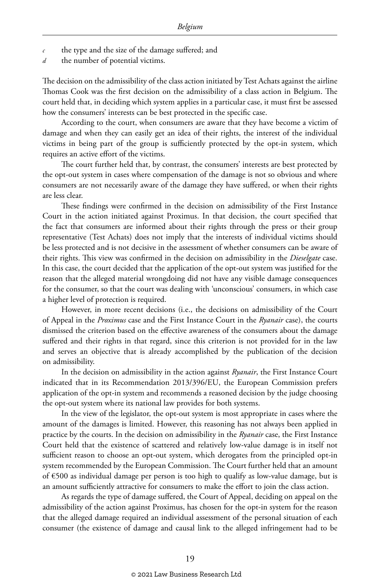- *c* the type and the size of the damage suffered; and
- *d* the number of potential victims.

The decision on the admissibility of the class action initiated by Test Achats against the airline Thomas Cook was the first decision on the admissibility of a class action in Belgium. The court held that, in deciding which system applies in a particular case, it must first be assessed how the consumers' interests can be best protected in the specific case.

According to the court, when consumers are aware that they have become a victim of damage and when they can easily get an idea of their rights, the interest of the individual victims in being part of the group is sufficiently protected by the opt-in system, which requires an active effort of the victims.

The court further held that, by contrast, the consumers' interests are best protected by the opt-out system in cases where compensation of the damage is not so obvious and where consumers are not necessarily aware of the damage they have suffered, or when their rights are less clear.

These findings were confirmed in the decision on admissibility of the First Instance Court in the action initiated against Proximus. In that decision, the court specified that the fact that consumers are informed about their rights through the press or their group representative (Test Achats) does not imply that the interests of individual victims should be less protected and is not decisive in the assessment of whether consumers can be aware of their rights. This view was confirmed in the decision on admissibility in the *Dieselgate* case. In this case, the court decided that the application of the opt-out system was justified for the reason that the alleged material wrongdoing did not have any visible damage consequences for the consumer, so that the court was dealing with 'unconscious' consumers, in which case a higher level of protection is required.

However, in more recent decisions (i.e., the decisions on admissibility of the Court of Appeal in the *Proximus* case and the First Instance Court in the *Ryanair* case), the courts dismissed the criterion based on the effective awareness of the consumers about the damage suffered and their rights in that regard, since this criterion is not provided for in the law and serves an objective that is already accomplished by the publication of the decision on admissibility.

In the decision on admissibility in the action against *Ryanair*, the First Instance Court indicated that in its Recommendation 2013/396/EU, the European Commission prefers application of the opt-in system and recommends a reasoned decision by the judge choosing the opt-out system where its national law provides for both systems.

In the view of the legislator, the opt-out system is most appropriate in cases where the amount of the damages is limited. However, this reasoning has not always been applied in practice by the courts. In the decision on admissibility in the *Ryanair* case, the First Instance Court held that the existence of scattered and relatively low-value damage is in itself not sufficient reason to choose an opt-out system, which derogates from the principled opt-in system recommended by the European Commission. The Court further held that an amount of €500 as individual damage per person is too high to qualify as low-value damage, but is an amount sufficiently attractive for consumers to make the effort to join the class action.

As regards the type of damage suffered, the Court of Appeal, deciding on appeal on the admissibility of the action against Proximus, has chosen for the opt-in system for the reason that the alleged damage required an individual assessment of the personal situation of each consumer (the existence of damage and causal link to the alleged infringement had to be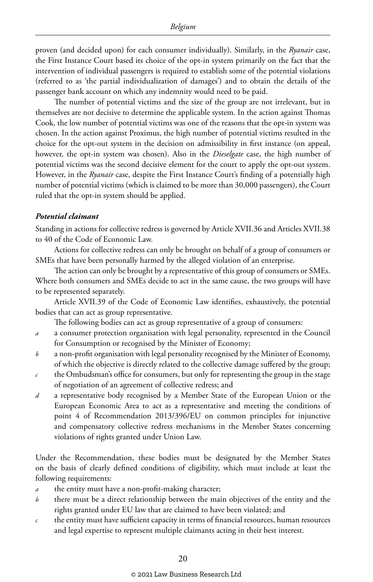proven (and decided upon) for each consumer individually). Similarly, in the *Ryanair* case, the First Instance Court based its choice of the opt-in system primarily on the fact that the intervention of individual passengers is required to establish some of the potential violations (referred to as 'the partial individualization of damages') and to obtain the details of the passenger bank account on which any indemnity would need to be paid.

The number of potential victims and the size of the group are not irrelevant, but in themselves are not decisive to determine the applicable system. In the action against Thomas Cook, the low number of potential victims was one of the reasons that the opt-in system was chosen. In the action against Proximus, the high number of potential victims resulted in the choice for the opt-out system in the decision on admissibility in first instance (on appeal, however, the opt-in system was chosen). Also in the *Dieselgate* case, the high number of potential victims was the second decisive element for the court to apply the opt-out system. However, in the *Ryanair* case, despite the First Instance Court's finding of a potentially high number of potential victims (which is claimed to be more than 30,000 passengers), the Court ruled that the opt-in system should be applied.

#### *Potential claimant*

Standing in actions for collective redress is governed by Article XVII.36 and Articles XVII.38 to 40 of the Code of Economic Law.

Actions for collective redress can only be brought on behalf of a group of consumers or SMEs that have been personally harmed by the alleged violation of an enterprise.

The action can only be brought by a representative of this group of consumers or SMEs. Where both consumers and SMEs decide to act in the same cause, the two groups will have to be represented separately.

Article XVII.39 of the Code of Economic Law identifies, exhaustively, the potential bodies that can act as group representative.

The following bodies can act as group representative of a group of consumers:

- *a* a consumer protection organisation with legal personality, represented in the Council for Consumption or recognised by the Minister of Economy;
- *b* a non-profit organisation with legal personality recognised by the Minister of Economy, of which the objective is directly related to the collective damage suffered by the group;
- *c* the Ombudsman's office for consumers, but only for representing the group in the stage of negotiation of an agreement of collective redress; and
- *d* a representative body recognised by a Member State of the European Union or the European Economic Area to act as a representative and meeting the conditions of point 4 of Recommendation 2013/396/EU on common principles for injunctive and compensatory collective redress mechanisms in the Member States concerning violations of rights granted under Union Law.

Under the Recommendation, these bodies must be designated by the Member States on the basis of clearly defined conditions of eligibility, which must include at least the following requirements:

- *a* the entity must have a non-profit-making character;
- *b* there must be a direct relationship between the main objectives of the entity and the rights granted under EU law that are claimed to have been violated; and
- *c* the entity must have sufficient capacity in terms of financial resources, human resources and legal expertise to represent multiple claimants acting in their best interest.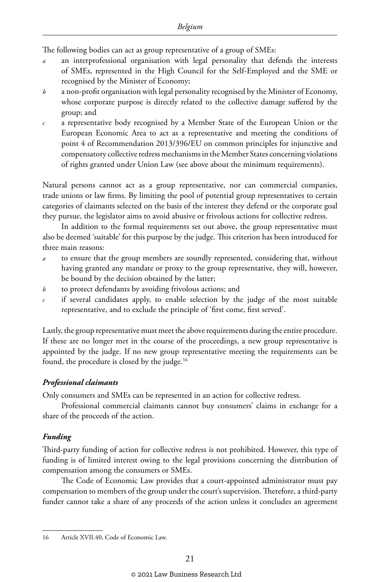The following bodies can act as group representative of a group of SMEs:

- *a* an interprofessional organisation with legal personality that defends the interests of SMEs, represented in the High Council for the Self-Employed and the SME or recognised by the Minister of Economy;
- *b* a non-profit organisation with legal personality recognised by the Minister of Economy, whose corporate purpose is directly related to the collective damage suffered by the group; and
- *c* a representative body recognised by a Member State of the European Union or the European Economic Area to act as a representative and meeting the conditions of point 4 of Recommendation 2013/396/EU on common principles for injunctive and compensatory collective redress mechanisms in the Member States concerning violations of rights granted under Union Law (see above about the minimum requirements).

Natural persons cannot act as a group representative, nor can commercial companies, trade unions or law firms. By limiting the pool of potential group representatives to certain categories of claimants selected on the basis of the interest they defend or the corporate goal they pursue, the legislator aims to avoid abusive or frivolous actions for collective redress.

In addition to the formal requirements set out above, the group representative must also be deemed 'suitable' for this purpose by the judge. This criterion has been introduced for three main reasons:

- to ensure that the group members are soundly represented, considering that, without having granted any mandate or proxy to the group representative, they will, however, be bound by the decision obtained by the latter;
- *b* to protect defendants by avoiding frivolous actions; and
- *c* if several candidates apply, to enable selection by the judge of the most suitable representative, and to exclude the principle of 'first come, first served'.

Lastly, the group representative must meet the above requirements during the entire procedure. If these are no longer met in the course of the proceedings, a new group representative is appointed by the judge. If no new group representative meeting the requirements can be found, the procedure is closed by the judge.16

#### *Professional claimants*

Only consumers and SMEs can be represented in an action for collective redress.

Professional commercial claimants cannot buy consumers' claims in exchange for a share of the proceeds of the action.

#### *Funding*

Third-party funding of action for collective redress is not prohibited. However, this type of funding is of limited interest owing to the legal provisions concerning the distribution of compensation among the consumers or SMEs.

The Code of Economic Law provides that a court-appointed administrator must pay compensation to members of the group under the court's supervision. Therefore, a third-party funder cannot take a share of any proceeds of the action unless it concludes an agreement

<sup>16</sup> Article XVII.40, Code of Economic Law.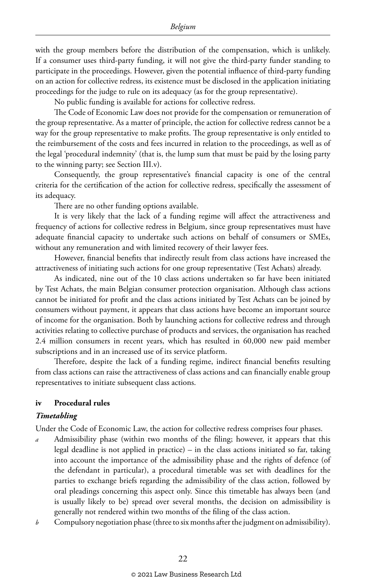with the group members before the distribution of the compensation, which is unlikely. If a consumer uses third-party funding, it will not give the third-party funder standing to participate in the proceedings. However, given the potential influence of third-party funding on an action for collective redress, its existence must be disclosed in the application initiating proceedings for the judge to rule on its adequacy (as for the group representative).

No public funding is available for actions for collective redress.

The Code of Economic Law does not provide for the compensation or remuneration of the group representative. As a matter of principle, the action for collective redress cannot be a way for the group representative to make profits. The group representative is only entitled to the reimbursement of the costs and fees incurred in relation to the proceedings, as well as of the legal 'procedural indemnity' (that is, the lump sum that must be paid by the losing party to the winning party; see Section III.v).

Consequently, the group representative's financial capacity is one of the central criteria for the certification of the action for collective redress, specifically the assessment of its adequacy.

There are no other funding options available.

It is very likely that the lack of a funding regime will affect the attractiveness and frequency of actions for collective redress in Belgium, since group representatives must have adequate financial capacity to undertake such actions on behalf of consumers or SMEs, without any remuneration and with limited recovery of their lawyer fees.

However, financial benefits that indirectly result from class actions have increased the attractiveness of initiating such actions for one group representative (Test Achats) already.

As indicated, nine out of the 10 class actions undertaken so far have been initiated by Test Achats, the main Belgian consumer protection organisation. Although class actions cannot be initiated for profit and the class actions initiated by Test Achats can be joined by consumers without payment, it appears that class actions have become an important source of income for the organisation. Both by launching actions for collective redress and through activities relating to collective purchase of products and services, the organisation has reached 2.4 million consumers in recent years, which has resulted in 60,000 new paid member subscriptions and in an increased use of its service platform.

Therefore, despite the lack of a funding regime, indirect financial benefits resulting from class actions can raise the attractiveness of class actions and can financially enable group representatives to initiate subsequent class actions.

#### **iv Procedural rules**

#### *Timetabling*

Under the Code of Economic Law, the action for collective redress comprises four phases.

- *a* Admissibility phase (within two months of the filing; however, it appears that this legal deadline is not applied in practice) – in the class actions initiated so far, taking into account the importance of the admissibility phase and the rights of defence (of the defendant in particular), a procedural timetable was set with deadlines for the parties to exchange briefs regarding the admissibility of the class action, followed by oral pleadings concerning this aspect only. Since this timetable has always been (and is usually likely to be) spread over several months, the decision on admissibility is generally not rendered within two months of the filing of the class action.
- *b* Compulsory negotiation phase (three to six months after the judgment on admissibility).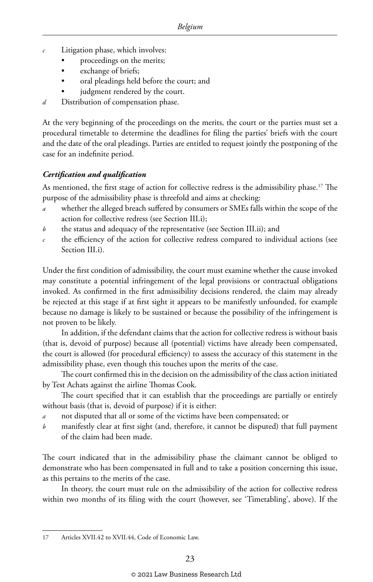- Litigation phase, which involves:
	- proceedings on the merits;
	- exchange of briefs;
	- oral pleadings held before the court; and
	- judgment rendered by the court.
- *d* Distribution of compensation phase.

At the very beginning of the proceedings on the merits, the court or the parties must set a procedural timetable to determine the deadlines for filing the parties' briefs with the court and the date of the oral pleadings. Parties are entitled to request jointly the postponing of the case for an indefinite period.

#### *Certification and qualification*

As mentioned, the first stage of action for collective redress is the admissibility phase.<sup>17</sup> The purpose of the admissibility phase is threefold and aims at checking:

- whether the alleged breach suffered by consumers or SMEs falls within the scope of the action for collective redress (see Section III.i);
- *b* the status and adequacy of the representative (see Section III.ii); and
- the efficiency of the action for collective redress compared to individual actions (see Section III.i).

Under the first condition of admissibility, the court must examine whether the cause invoked may constitute a potential infringement of the legal provisions or contractual obligations invoked. As confirmed in the first admissibility decisions rendered, the claim may already be rejected at this stage if at first sight it appears to be manifestly unfounded, for example because no damage is likely to be sustained or because the possibility of the infringement is not proven to be likely.

In addition, if the defendant claims that the action for collective redress is without basis (that is, devoid of purpose) because all (potential) victims have already been compensated, the court is allowed (for procedural efficiency) to assess the accuracy of this statement in the admissibility phase, even though this touches upon the merits of the case.

The court confirmed this in the decision on the admissibility of the class action initiated by Test Achats against the airline Thomas Cook.

The court specified that it can establish that the proceedings are partially or entirely without basis (that is, devoid of purpose) if it is either:

- *a* not disputed that all or some of the victims have been compensated; or
- *b* manifestly clear at first sight (and, therefore, it cannot be disputed) that full payment of the claim had been made.

The court indicated that in the admissibility phase the claimant cannot be obliged to demonstrate who has been compensated in full and to take a position concerning this issue, as this pertains to the merits of the case.

In theory, the court must rule on the admissibility of the action for collective redress within two months of its filing with the court (however, see 'Timetabling', above). If the

<sup>17</sup> Articles XVII.42 to XVII.44, Code of Economic Law.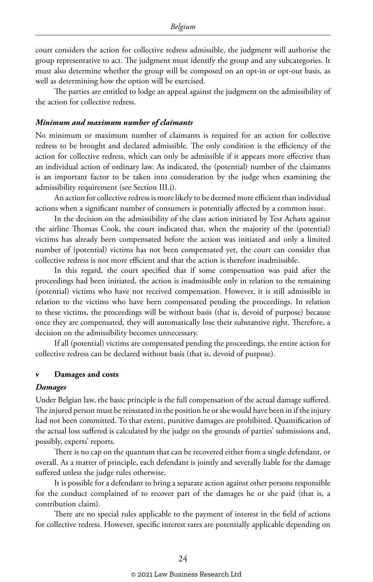court considers the action for collective redress admissible, the judgment will authorise the group representative to act. The judgment must identify the group and any subcategories. It must also determine whether the group will be composed on an opt-in or opt-out basis, as well as determining how the option will be exercised.

The parties are entitled to lodge an appeal against the judgment on the admissibility of the action for collective redress.

#### *Minimum and maximum number of claimants*

No minimum or maximum number of claimants is required for an action for collective redress to be brought and declared admissible. The only condition is the efficiency of the action for collective redress, which can only be admissible if it appears more effective than an individual action of ordinary law. As indicated, the (potential) number of the claimants is an important factor to be taken into consideration by the judge when examining the admissibility requirement (see Section III.i).

An action for collective redress is more likely to be deemed more efficient than individual actions when a significant number of consumers is potentially affected by a common issue.

In the decision on the admissibility of the class action initiated by Test Achats against the airline Thomas Cook, the court indicated that, when the majority of the (potential) victims has already been compensated before the action was initiated and only a limited number of (potential) victims has not been compensated yet, the court can consider that collective redress is not more efficient and that the action is therefore inadmissible.

In this regard, the court specified that if some compensation was paid after the proceedings had been initiated, the action is inadmissible only in relation to the remaining (potential) victims who have not received compensation. However, it is still admissible in relation to the victims who have been compensated pending the proceedings. In relation to these victims, the proceedings will be without basis (that is, devoid of purpose) because once they are compensated, they will automatically lose their substantive right. Therefore, a decision on the admissibility becomes unnecessary.

If all (potential) victims are compensated pending the proceedings, the entire action for collective redress can be declared without basis (that is, devoid of purpose).

#### **v Damages and costs**

#### *Damages*

Under Belgian law, the basic principle is the full compensation of the actual damage suffered. The injured person must be reinstated in the position he or she would have been in if the injury had not been committed. To that extent, punitive damages are prohibited. Quantification of the actual loss suffered is calculated by the judge on the grounds of parties' submissions and, possibly, experts' reports.

There is no cap on the quantum that can be recovered either from a single defendant, or overall. As a matter of principle, each defendant is jointly and severally liable for the damage suffered unless the judge rules otherwise.

It is possible for a defendant to bring a separate action against other persons responsible for the conduct complained of to recover part of the damages he or she paid (that is, a contribution claim).

There are no special rules applicable to the payment of interest in the field of actions for collective redress. However, specific interest rates are potentially applicable depending on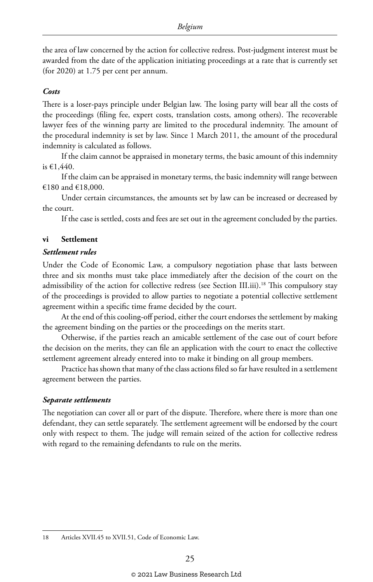the area of law concerned by the action for collective redress. Post-judgment interest must be awarded from the date of the application initiating proceedings at a rate that is currently set (for 2020) at 1.75 per cent per annum.

#### *Costs*

There is a loser-pays principle under Belgian law. The losing party will bear all the costs of the proceedings (filing fee, expert costs, translation costs, among others). The recoverable lawyer fees of the winning party are limited to the procedural indemnity. The amount of the procedural indemnity is set by law. Since 1 March 2011, the amount of the procedural indemnity is calculated as follows.

If the claim cannot be appraised in monetary terms, the basic amount of this indemnity is €1,440.

If the claim can be appraised in monetary terms, the basic indemnity will range between €180 and €18,000.

Under certain circumstances, the amounts set by law can be increased or decreased by the court.

If the case is settled, costs and fees are set out in the agreement concluded by the parties.

#### **vi Settlement**

#### *Settlement rules*

Under the Code of Economic Law, a compulsory negotiation phase that lasts between three and six months must take place immediately after the decision of the court on the admissibility of the action for collective redress (see Section III.iii).<sup>18</sup> This compulsory stay of the proceedings is provided to allow parties to negotiate a potential collective settlement agreement within a specific time frame decided by the court.

At the end of this cooling-off period, either the court endorses the settlement by making the agreement binding on the parties or the proceedings on the merits start.

Otherwise, if the parties reach an amicable settlement of the case out of court before the decision on the merits, they can file an application with the court to enact the collective settlement agreement already entered into to make it binding on all group members.

Practice has shown that many of the class actions filed so far have resulted in a settlement agreement between the parties.

#### *Separate settlements*

The negotiation can cover all or part of the dispute. Therefore, where there is more than one defendant, they can settle separately. The settlement agreement will be endorsed by the court only with respect to them. The judge will remain seized of the action for collective redress with regard to the remaining defendants to rule on the merits.

<sup>18</sup> Articles XVII.45 to XVII.51, Code of Economic Law.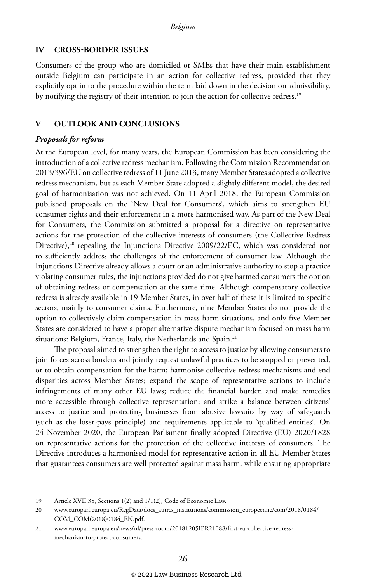#### **IV CROSS-BORDER ISSUES**

Consumers of the group who are domiciled or SMEs that have their main establishment outside Belgium can participate in an action for collective redress, provided that they explicitly opt in to the procedure within the term laid down in the decision on admissibility, by notifying the registry of their intention to join the action for collective redress.<sup>19</sup>

#### **V OUTLOOK AND CONCLUSIONS**

#### *Proposals for reform*

At the European level, for many years, the European Commission has been considering the introduction of a collective redress mechanism. Following the Commission Recommendation 2013/396/EU on collective redress of 11 June 2013, many Member States adopted a collective redress mechanism, but as each Member State adopted a slightly different model, the desired goal of harmonisation was not achieved. On 11 April 2018, the European Commission published proposals on the 'New Deal for Consumers', which aims to strengthen EU consumer rights and their enforcement in a more harmonised way. As part of the New Deal for Consumers, the Commission submitted a proposal for a directive on representative actions for the protection of the collective interests of consumers (the Collective Redress Directive),<sup>20</sup> repealing the Injunctions Directive 2009/22/EC, which was considered not to sufficiently address the challenges of the enforcement of consumer law. Although the Injunctions Directive already allows a court or an administrative authority to stop a practice violating consumer rules, the injunctions provided do not give harmed consumers the option of obtaining redress or compensation at the same time. Although compensatory collective redress is already available in 19 Member States, in over half of these it is limited to specific sectors, mainly to consumer claims. Furthermore, nine Member States do not provide the option to collectively claim compensation in mass harm situations, and only five Member States are considered to have a proper alternative dispute mechanism focused on mass harm situations: Belgium, France, Italy, the Netherlands and Spain.<sup>21</sup>

The proposal aimed to strengthen the right to access to justice by allowing consumers to join forces across borders and jointly request unlawful practices to be stopped or prevented, or to obtain compensation for the harm; harmonise collective redress mechanisms and end disparities across Member States; expand the scope of representative actions to include infringements of many other EU laws; reduce the financial burden and make remedies more accessible through collective representation; and strike a balance between citizens' access to justice and protecting businesses from abusive lawsuits by way of safeguards (such as the loser-pays principle) and requirements applicable to 'qualified entities'. On 24 November 2020, the European Parliament finally adopted Directive (EU) 2020/1828 on representative actions for the protection of the collective interests of consumers. The Directive introduces a harmonised model for representative action in all EU Member States that guarantees consumers are well protected against mass harm, while ensuring appropriate

<sup>19</sup> Article XVII.38, Sections 1(2) and 1/1(2), Code of Economic Law.

<sup>20</sup> www.europarl.europa.eu/RegData/docs\_autres\_institutions/commission\_europeenne/com/2018/0184/ COM\_COM(2018)0184\_EN.pdf.

<sup>21</sup> www.europarl.europa.eu/news/nl/press-room/20181205IPR21088/first-eu-collective-redressmechanism-to-protect-consumers.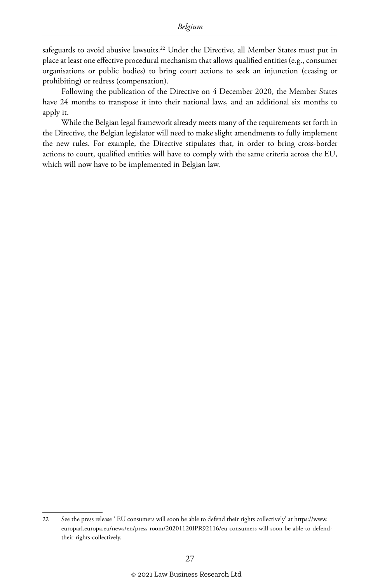safeguards to avoid abusive lawsuits.<sup>22</sup> Under the Directive, all Member States must put in place at least one effective procedural mechanism that allows qualified entities (e.g., consumer organisations or public bodies) to bring court actions to seek an injunction (ceasing or prohibiting) or redress (compensation).

Following the publication of the Directive on 4 December 2020, the Member States have 24 months to transpose it into their national laws, and an additional six months to apply it.

While the Belgian legal framework already meets many of the requirements set forth in the Directive, the Belgian legislator will need to make slight amendments to fully implement the new rules. For example, the Directive stipulates that, in order to bring cross-border actions to court, qualified entities will have to comply with the same criteria across the EU, which will now have to be implemented in Belgian law.

<sup>22</sup> See the press release ' EU consumers will soon be able to defend their rights collectively' at https://www. europarl.europa.eu/news/en/press-room/20201120IPR92116/eu-consumers-will-soon-be-able-to-defendtheir-rights-collectively.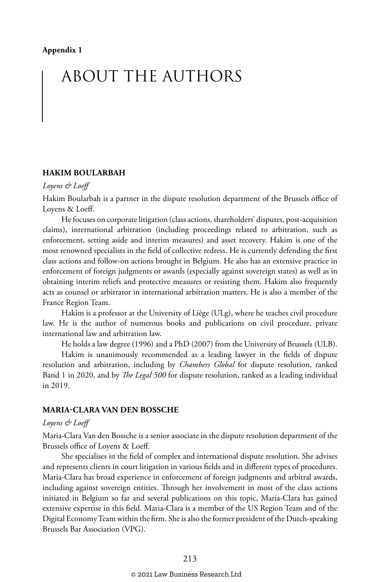# ABOUT THE AUTHORS

#### **HAKIM BOULARBAH**

#### *Loyens & Loeff*

Hakim Boularbah is a partner in the dispute resolution department of the Brussels office of Loyens & Loeff.

He focuses on corporate litigation (class actions, shareholders' disputes, post-acquisition claims), international arbitration (including proceedings related to arbitration, such as enforcement, setting aside and interim measures) and asset recovery. Hakim is one of the most renowned specialists in the field of collective redress. He is currently defending the first class actions and follow-on actions brought in Belgium. He also has an extensive practice in enforcement of foreign judgments or awards (especially against sovereign states) as well as in obtaining interim reliefs and protective measures or resisting them. Hakim also frequently acts as counsel or arbitrator in international arbitration matters. He is also a member of the France Region Team.

Hakim is a professor at the University of Liège (ULg), where he teaches civil procedure law. He is the author of numerous books and publications on civil procedure, private international law and arbitration law.

He holds a law degree (1996) and a PhD (2007) from the University of Brussels (ULB).

Hakim is unanimously recommended as a leading lawyer in the fields of dispute resolution and arbitration, including by *Chambers Global* for dispute resolution, ranked Band 1 in 2020, and by *The Legal 500* for dispute resolution, ranked as a leading individual in 2019.

#### **MARIA-CLARA VAN DEN BOSSCHE**

#### *Loyens & Loeff*

Maria-Clara Van den Bossche is a senior associate in the dispute resolution department of the Brussels office of Loyens & Loeff.

She specialises in the field of complex and international dispute resolution. She advises and represents clients in court litigation in various fields and in different types of procedures. Maria-Clara has broad experience in enforcement of foreign judgments and arbitral awards, including against sovereign entities. Through her involvement in most of the class actions initiated in Belgium so far and several publications on this topic, Maria-Clara has gained extensive expertise in this field. Maria-Clara is a member of the US Region Team and of the Digital Economy Team within the firm. She is also the former president of the Dutch-speaking Brussels Bar Association (VPG).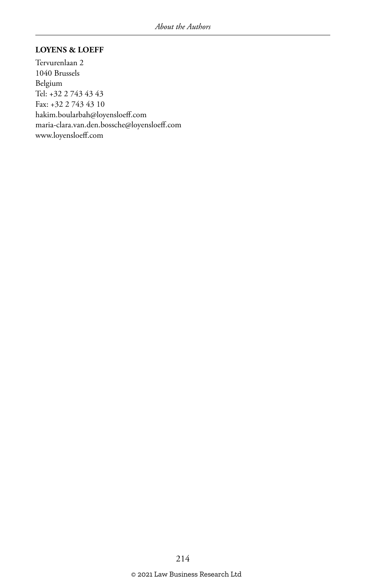#### **LOYENS & LOEFF**

Tervurenlaan 2 1040 Brussels Belgium Tel: +32 2 743 43 43 Fax: +32 2 743 43 10 hakim.boularbah@loyensloeff.com maria-clara.van.den.bossche@loyensloeff.com www.loyensloeff.com